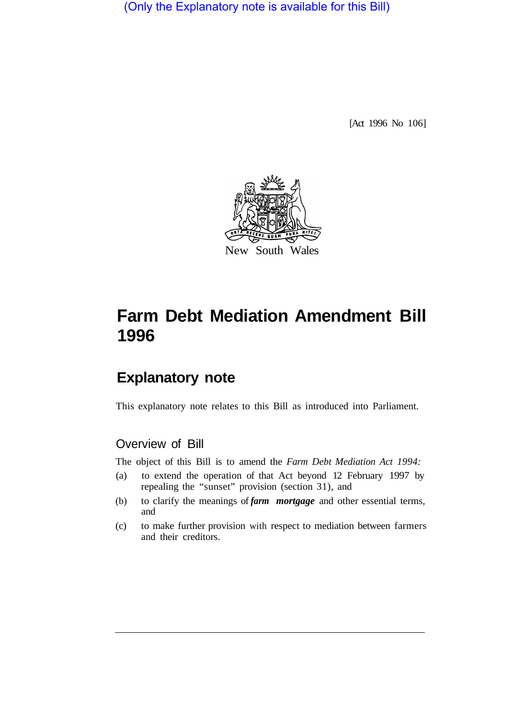(Only the Explanatory note is available for this Bill)

[Act 1996 No 106]



# **Farm Debt Mediation Amendment Bill 1996**

## **Explanatory note**

This explanatory note relates to this Bill as introduced into Parliament.

## Overview of Bill

The object of this Bill is to amend the *Farm Debt Mediation Act 1994:* 

- (a) to extend the operation of that Act beyond 12 February 1997 by repealing the "sunset" provision (section 31), and
- (b) to clarify the meanings of *farm mortgage* and other essential terms, and
- (c) to make further provision with respect to mediation between farmers and their creditors.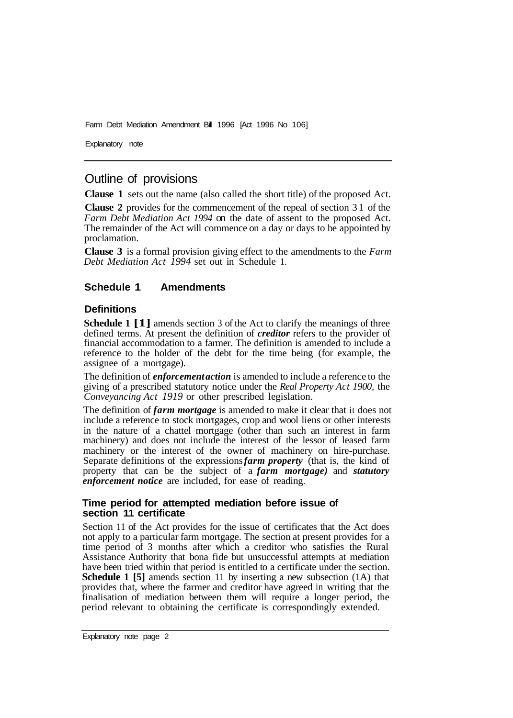Farm Debt Mediation Amendment Bill 1996 [Act 1996 No 106]

Explanatory note

## Outline of provisions

**Clause 1** sets out the name (also called the short title) of the proposed Act.

**Clause 2** provides for the commencement of the repeal of section 3 1 of the *Farm Debt Mediation Act 1994* on the date of assent to the proposed Act. The remainder of the Act will commence on a day or days to be appointed by proclamation.

**Clause 3** is a formal provision giving effect to the amendments to the *Farm Debt Mediation Act 1994* set out in Schedule 1.

#### **Schedule 1 Amendments**

#### **Definitions**

**Schedule 1 [1]** amends section 3 of the Act to clarify the meanings of three defined terms. At present the definition of *creditor* refers to the provider of financial accommodation to a farmer. The definition is amended to include a reference to the holder of the debt for the time being (for example, the assignee of a mortgage).

The definition of *enforcement action* is amended to include a reference to the giving of a prescribed statutory notice under the *Real Property Act 1900,* the *Conveyancing Act 1919* or other prescribed legislation.

The definition of *farm mortgage* is amended to make it clear that it does not include a reference to stock mortgages, crop and wool liens or other interests in the nature of a chattel mortgage (other than such an interest in farm machinery) and does not include the interest of the lessor of leased farm machinery or the interest of the owner of machinery on hire-purchase. Separate definitions of the expressions *farm property* (that is, the kind of property that can be the subject of a *farm mortgage)* and *statutory enforcement notice* are included, for ease of reading.

#### **Time period for attempted mediation before issue of section 11 certificate**

Section 11 of the Act provides for the issue of certificates that the Act does not apply to a particular farm mortgage. The section at present provides for a time period of 3 months after which a creditor who satisfies the Rural Assistance Authority that bona fide but unsuccessful attempts at mediation have been tried within that period is entitled to a certificate under the section. **Schedule 1 [5]** amends section 11 by inserting a new subsection (1A) that provides that, where the farmer and creditor have agreed in writing that the finalisation of mediation between them will require a longer period, the period relevant to obtaining the certificate is correspondingly extended.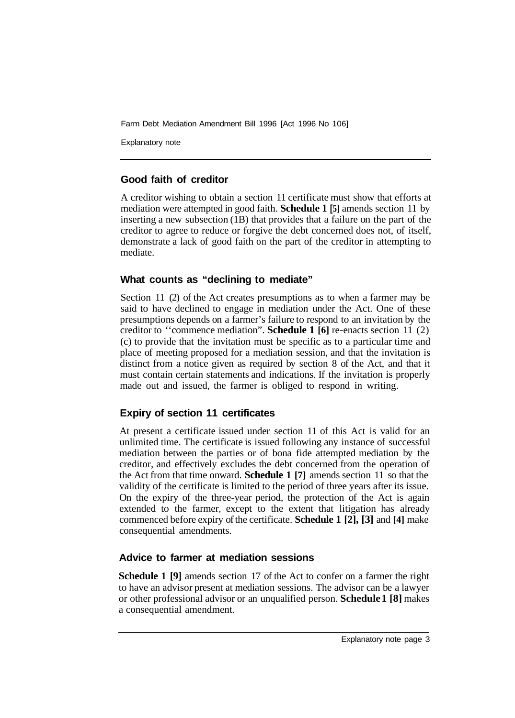Farm Debt Mediation Amendment Bill 1996 [Act 1996 No 106]

Explanatory note

## **Good faith of creditor**

A creditor wishing to obtain a section 11 certificate must show that efforts at mediation were attempted in good faith. **Schedule 1 [5]** amends section 11 by inserting a new subsection (1B) that provides that a failure on the part of the creditor to agree to reduce or forgive the debt concerned does not, of itself, demonstrate a lack of good faith on the part of the creditor in attempting to mediate.

### **What counts as "declining to mediate"**

Section 11 (2) of the Act creates presumptions as to when a farmer may be said to have declined to engage in mediation under the Act. One of these presumptions depends on a farmer's failure to respond to an invitation by the creditor to ''commence mediation". **Schedule 1 [6]** re-enacts section 11 (2) (c) to provide that the invitation must be specific as to a particular time and place of meeting proposed for a mediation session, and that the invitation is distinct from a notice given as required by section 8 of the Act, and that it must contain certain statements and indications. If the invitation is properly made out and issued, the farmer is obliged to respond in writing.

## **Expiry of section 11 certificates**

At present a certificate issued under section 11 of this Act is valid for an unlimited time. The certificate is issued following any instance of successful mediation between the parties or of bona fide attempted mediation by the creditor, and effectively excludes the debt concerned from the operation of the Act from that time onward. **Schedule 1 [7]** amends section 11 so that the validity of the certificate is limited to the period of three years after its issue. On the expiry of the three-year period, the protection of the Act is again extended to the farmer, except to the extent that litigation has already commenced before expiry of the certificate. **Schedule 1 [2], [3]** and **[4]** make consequential amendments.

## **Advice to farmer at mediation sessions**

**Schedule 1 [9]** amends section 17 of the Act to confer on a farmer the right to have an advisor present at mediation sessions. The advisor can be a lawyer or other professional advisor or an unqualified person. **Schedule 1 [8]** makes a consequential amendment.